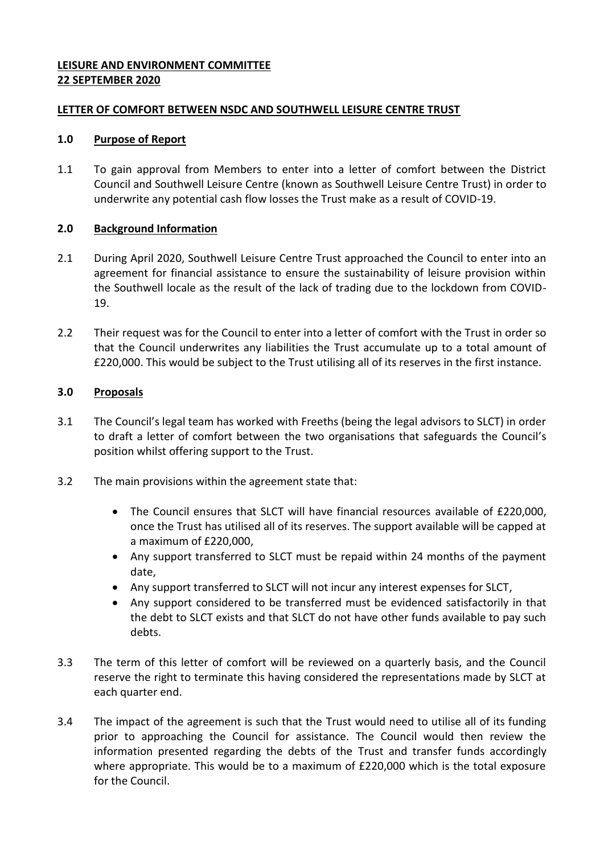## **LEISURE AND ENVIRONMENT COMMITTEE 22 SEPTEMBER 2020**

## **LETTER OF COMFORT BETWEEN NSDC AND SOUTHWELL LEISURE CENTRE TRUST**

## **1.0 Purpose of Report**

1.1 To gain approval from Members to enter into a letter of comfort between the District Council and Southwell Leisure Centre (known as Southwell Leisure Centre Trust) in order to underwrite any potential cash flow losses the Trust make as a result of COVID-19.

## **2.0 Background Information**

- 2.1 During April 2020, Southwell Leisure Centre Trust approached the Council to enter into an agreement for financial assistance to ensure the sustainability of leisure provision within the Southwell locale as the result of the lack of trading due to the lockdown from COVID-19.
- 2.2 Their request was for the Council to enter into a letter of comfort with the Trust in order so that the Council underwrites any liabilities the Trust accumulate up to a total amount of £220,000. This would be subject to the Trust utilising all of its reserves in the first instance.

## **3.0 Proposals**

- 3.1 The Council's legal team has worked with Freeths (being the legal advisors to SLCT) in order to draft a letter of comfort between the two organisations that safeguards the Council's position whilst offering support to the Trust.
- 3.2 The main provisions within the agreement state that:
	- The Council ensures that SLCT will have financial resources available of £220,000, once the Trust has utilised all of its reserves. The support available will be capped at a maximum of £220,000,
	- Any support transferred to SLCT must be repaid within 24 months of the payment date,
	- Any support transferred to SLCT will not incur any interest expenses for SLCT,
	- Any support considered to be transferred must be evidenced satisfactorily in that the debt to SLCT exists and that SLCT do not have other funds available to pay such debts.
- 3.3 The term of this letter of comfort will be reviewed on a quarterly basis, and the Council reserve the right to terminate this having considered the representations made by SLCT at each quarter end.
- 3.4 The impact of the agreement is such that the Trust would need to utilise all of its funding prior to approaching the Council for assistance. The Council would then review the information presented regarding the debts of the Trust and transfer funds accordingly where appropriate. This would be to a maximum of £220,000 which is the total exposure for the Council.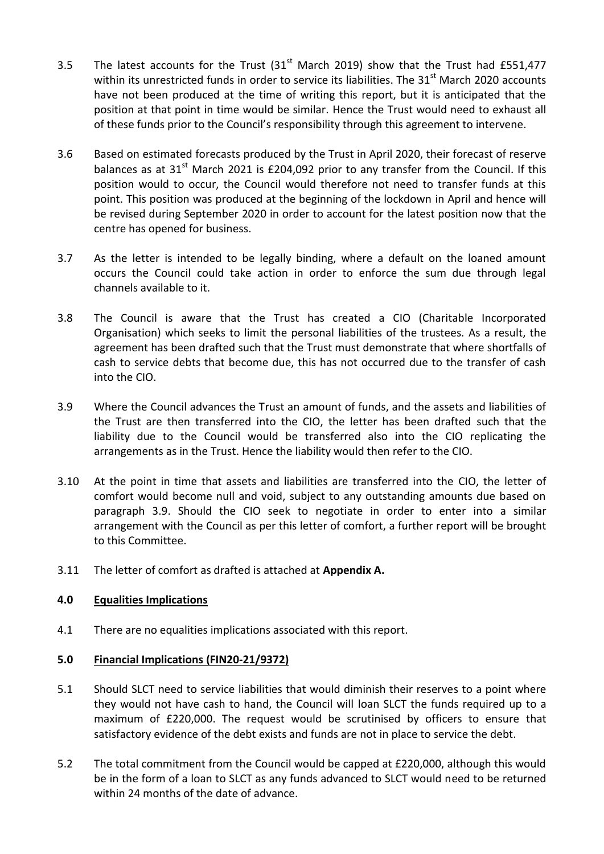- 3.5 The latest accounts for the Trust  $(31<sup>st</sup>$  March 2019) show that the Trust had £551,477 within its unrestricted funds in order to service its liabilities. The  $31<sup>st</sup>$  March 2020 accounts have not been produced at the time of writing this report, but it is anticipated that the position at that point in time would be similar. Hence the Trust would need to exhaust all of these funds prior to the Council's responsibility through this agreement to intervene.
- 3.6 Based on estimated forecasts produced by the Trust in April 2020, their forecast of reserve balances as at  $31<sup>st</sup>$  March 2021 is £204,092 prior to any transfer from the Council. If this position would to occur, the Council would therefore not need to transfer funds at this point. This position was produced at the beginning of the lockdown in April and hence will be revised during September 2020 in order to account for the latest position now that the centre has opened for business.
- 3.7 As the letter is intended to be legally binding, where a default on the loaned amount occurs the Council could take action in order to enforce the sum due through legal channels available to it.
- 3.8 The Council is aware that the Trust has created a CIO (Charitable Incorporated Organisation) which seeks to limit the personal liabilities of the trustees. As a result, the agreement has been drafted such that the Trust must demonstrate that where shortfalls of cash to service debts that become due, this has not occurred due to the transfer of cash into the CIO.
- 3.9 Where the Council advances the Trust an amount of funds, and the assets and liabilities of the Trust are then transferred into the CIO, the letter has been drafted such that the liability due to the Council would be transferred also into the CIO replicating the arrangements as in the Trust. Hence the liability would then refer to the CIO.
- 3.10 At the point in time that assets and liabilities are transferred into the CIO, the letter of comfort would become null and void, subject to any outstanding amounts due based on paragraph 3.9. Should the CIO seek to negotiate in order to enter into a similar arrangement with the Council as per this letter of comfort, a further report will be brought to this Committee.
- 3.11 The letter of comfort as drafted is attached at **Appendix A.**

# **4.0 Equalities Implications**

4.1 There are no equalities implications associated with this report.

#### **5.0 Financial Implications (FIN20-21/9372)**

- 5.1 Should SLCT need to service liabilities that would diminish their reserves to a point where they would not have cash to hand, the Council will loan SLCT the funds required up to a maximum of £220,000. The request would be scrutinised by officers to ensure that satisfactory evidence of the debt exists and funds are not in place to service the debt.
- 5.2 The total commitment from the Council would be capped at £220,000, although this would be in the form of a loan to SLCT as any funds advanced to SLCT would need to be returned within 24 months of the date of advance.